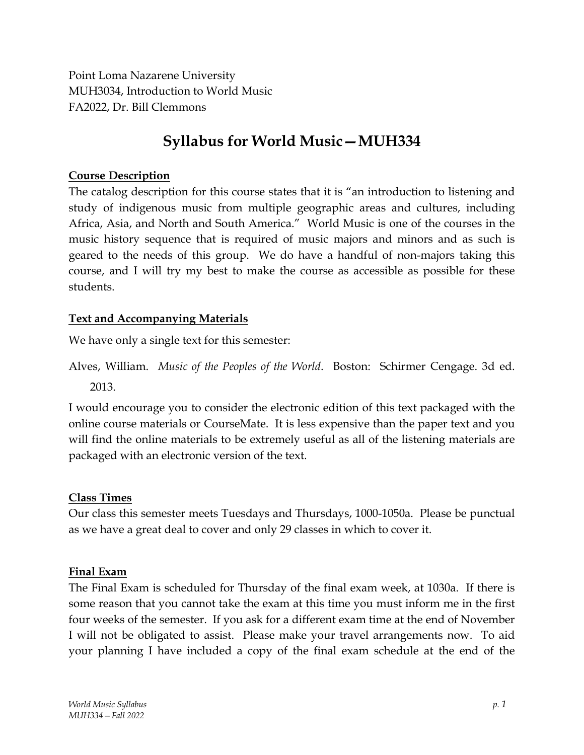Point Loma Nazarene University MUH3034, Introduction to World Music FA2022, Dr. Bill Clemmons

# **Syllabus for World Music—MUH334**

#### **Course Description**

The catalog description for this course states that it is "an introduction to listening and study of indigenous music from multiple geographic areas and cultures, including Africa, Asia, and North and South America." World Music is one of the courses in the music history sequence that is required of music majors and minors and as such is geared to the needs of this group. We do have a handful of non-majors taking this course, and I will try my best to make the course as accessible as possible for these students.

#### **Text and Accompanying Materials**

We have only a single text for this semester:

Alves, William. *Music of the Peoples of the World*. Boston: Schirmer Cengage. 3d ed. 2013.

I would encourage you to consider the electronic edition of this text packaged with the online course materials or CourseMate. It is less expensive than the paper text and you will find the online materials to be extremely useful as all of the listening materials are packaged with an electronic version of the text.

#### **Class Times**

Our class this semester meets Tuesdays and Thursdays, 1000-1050a. Please be punctual as we have a great deal to cover and only 29 classes in which to cover it.

#### **Final Exam**

The Final Exam is scheduled for Thursday of the final exam week, at 1030a. If there is some reason that you cannot take the exam at this time you must inform me in the first four weeks of the semester. If you ask for a different exam time at the end of November I will not be obligated to assist. Please make your travel arrangements now. To aid your planning I have included a copy of the final exam schedule at the end of the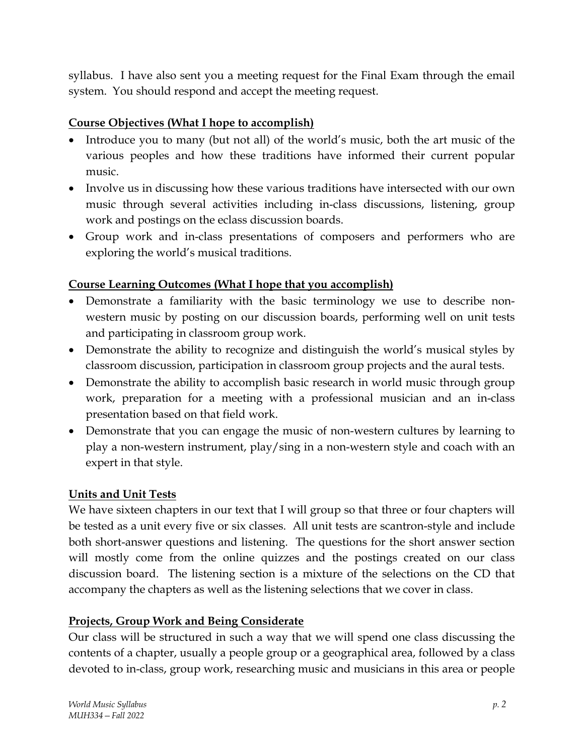syllabus. I have also sent you a meeting request for the Final Exam through the email system. You should respond and accept the meeting request.

# **Course Objectives (What I hope to accomplish)**

- Introduce you to many (but not all) of the world's music, both the art music of the various peoples and how these traditions have informed their current popular music.
- Involve us in discussing how these various traditions have intersected with our own music through several activities including in-class discussions, listening, group work and postings on the eclass discussion boards.
- Group work and in-class presentations of composers and performers who are exploring the world's musical traditions.

# **Course Learning Outcomes (What I hope that you accomplish)**

- Demonstrate a familiarity with the basic terminology we use to describe nonwestern music by posting on our discussion boards, performing well on unit tests and participating in classroom group work.
- Demonstrate the ability to recognize and distinguish the world's musical styles by classroom discussion, participation in classroom group projects and the aural tests.
- Demonstrate the ability to accomplish basic research in world music through group work, preparation for a meeting with a professional musician and an in-class presentation based on that field work.
- Demonstrate that you can engage the music of non-western cultures by learning to play a non-western instrument, play/sing in a non-western style and coach with an expert in that style.

# **Units and Unit Tests**

We have sixteen chapters in our text that I will group so that three or four chapters will be tested as a unit every five or six classes. All unit tests are scantron-style and include both short-answer questions and listening. The questions for the short answer section will mostly come from the online quizzes and the postings created on our class discussion board. The listening section is a mixture of the selections on the CD that accompany the chapters as well as the listening selections that we cover in class.

# **Projects, Group Work and Being Considerate**

Our class will be structured in such a way that we will spend one class discussing the contents of a chapter, usually a people group or a geographical area, followed by a class devoted to in-class, group work, researching music and musicians in this area or people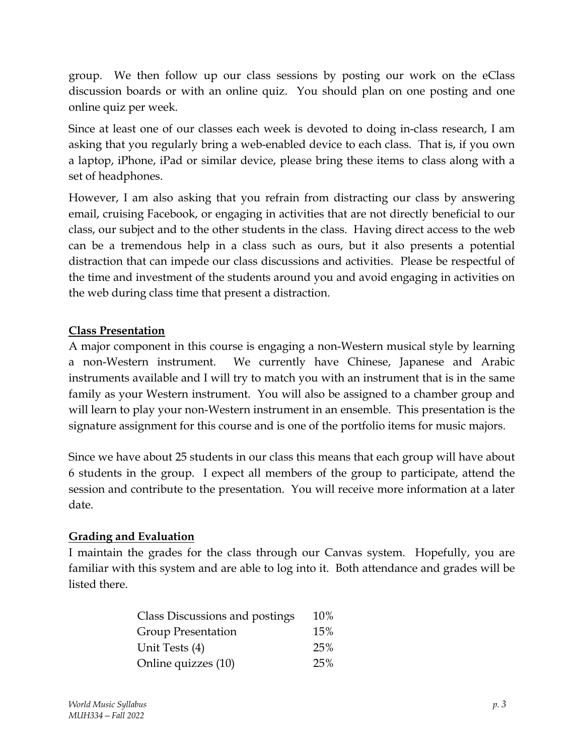group. We then follow up our class sessions by posting our work on the eClass discussion boards or with an online quiz. You should plan on one posting and one online quiz per week.

Since at least one of our classes each week is devoted to doing in-class research, I am asking that you regularly bring a web-enabled device to each class. That is, if you own a laptop, iPhone, iPad or similar device, please bring these items to class along with a set of headphones.

However, I am also asking that you refrain from distracting our class by answering email, cruising Facebook, or engaging in activities that are not directly beneficial to our class, our subject and to the other students in the class. Having direct access to the web can be a tremendous help in a class such as ours, but it also presents a potential distraction that can impede our class discussions and activities. Please be respectful of the time and investment of the students around you and avoid engaging in activities on the web during class time that present a distraction.

### **Class Presentation**

A major component in this course is engaging a non-Western musical style by learning a non-Western instrument. We currently have Chinese, Japanese and Arabic instruments available and I will try to match you with an instrument that is in the same family as your Western instrument. You will also be assigned to a chamber group and will learn to play your non-Western instrument in an ensemble. This presentation is the signature assignment for this course and is one of the portfolio items for music majors.

Since we have about 25 students in our class this means that each group will have about 6 students in the group. I expect all members of the group to participate, attend the session and contribute to the presentation. You will receive more information at a later date.

### **Grading and Evaluation**

I maintain the grades for the class through our Canvas system. Hopefully, you are familiar with this system and are able to log into it. Both attendance and grades will be listed there.

| Class Discussions and postings | 10% |
|--------------------------------|-----|
| Group Presentation             | 15% |
| Unit Tests (4)                 | 25% |
| Online quizzes (10)            | 25% |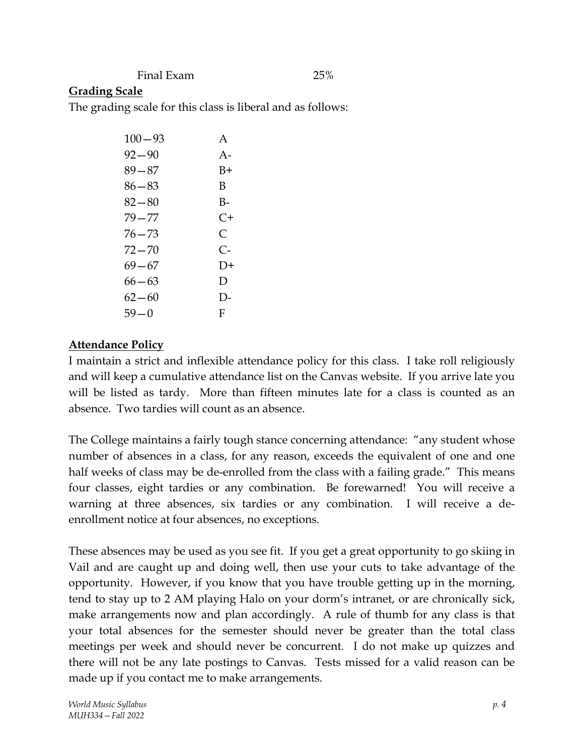Final Exam 25%

## **Grading Scale**

The grading scale for this class is liberal and as follows:

| $100 - 93$ | A     |
|------------|-------|
| $92 - 90$  | $A -$ |
| 89—87      | B+    |
| 86—83      | В     |
| $82 - 80$  | B-    |
| $79 - 77$  | $C+$  |
| 76—73      | C     |
| 72 — 70    | C-    |
| 69—67      | $D+$  |
| $66 - 63$  | Ð     |
| 62—60      | D-    |
| $59 - 0$   | F     |
|            |       |

### **Attendance Policy**

I maintain a strict and inflexible attendance policy for this class. I take roll religiously and will keep a cumulative attendance list on the Canvas website. If you arrive late you will be listed as tardy. More than fifteen minutes late for a class is counted as an absence. Two tardies will count as an absence.

The College maintains a fairly tough stance concerning attendance: "any student whose number of absences in a class, for any reason, exceeds the equivalent of one and one half weeks of class may be de-enrolled from the class with a failing grade." This means four classes, eight tardies or any combination. Be forewarned! You will receive a warning at three absences, six tardies or any combination. I will receive a deenrollment notice at four absences, no exceptions.

These absences may be used as you see fit. If you get a great opportunity to go skiing in Vail and are caught up and doing well, then use your cuts to take advantage of the opportunity. However, if you know that you have trouble getting up in the morning, tend to stay up to 2 AM playing Halo on your dorm's intranet, or are chronically sick, make arrangements now and plan accordingly. A rule of thumb for any class is that your total absences for the semester should never be greater than the total class meetings per week and should never be concurrent. I do not make up quizzes and there will not be any late postings to Canvas. Tests missed for a valid reason can be made up if you contact me to make arrangements.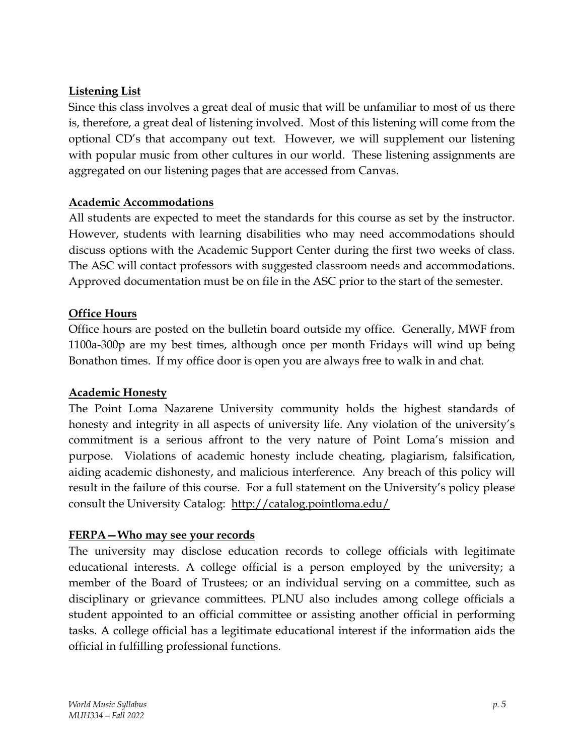# **Listening List**

Since this class involves a great deal of music that will be unfamiliar to most of us there is, therefore, a great deal of listening involved. Most of this listening will come from the optional CD's that accompany out text. However, we will supplement our listening with popular music from other cultures in our world. These listening assignments are aggregated on our listening pages that are accessed from Canvas.

## **Academic Accommodations**

All students are expected to meet the standards for this course as set by the instructor. However, students with learning disabilities who may need accommodations should discuss options with the Academic Support Center during the first two weeks of class. The ASC will contact professors with suggested classroom needs and accommodations. Approved documentation must be on file in the ASC prior to the start of the semester.

## **Office Hours**

Office hours are posted on the bulletin board outside my office. Generally, MWF from 1100a-300p are my best times, although once per month Fridays will wind up being Bonathon times. If my office door is open you are always free to walk in and chat.

### **Academic Honesty**

The Point Loma Nazarene University community holds the highest standards of honesty and integrity in all aspects of university life. Any violation of the university's commitment is a serious affront to the very nature of Point Loma's mission and purpose. Violations of academic honesty include cheating, plagiarism, falsification, aiding academic dishonesty, and malicious interference. Any breach of this policy will result in the failure of this course. For a full statement on the University's policy please consult the University Catalog: http://catalog.pointloma.edu/

### **FERPA—Who may see your records**

The university may disclose education records to college officials with legitimate educational interests. A college official is a person employed by the university; a member of the Board of Trustees; or an individual serving on a committee, such as disciplinary or grievance committees. PLNU also includes among college officials a student appointed to an official committee or assisting another official in performing tasks. A college official has a legitimate educational interest if the information aids the official in fulfilling professional functions.